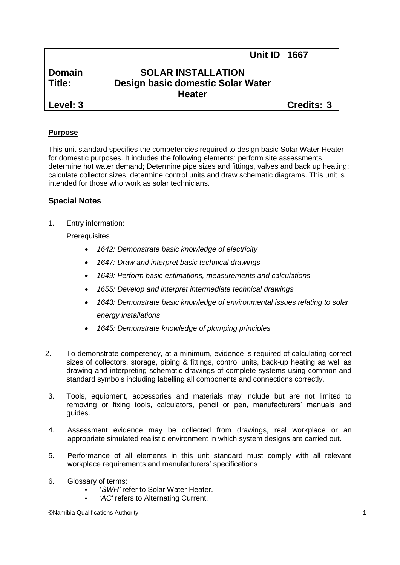# **Domain SOLAR INSTALLATION Title: Design basic domestic Solar Water Heater**

**Level: 3 Credits: 3**

**Unit ID 1667**

# **Purpose**

This unit standard specifies the competencies required to design basic Solar Water Heater for domestic purposes. It includes the following elements: perform site assessments, determine hot water demand; Determine pipe sizes and fittings, valves and back up heating; calculate collector sizes, determine control units and draw schematic diagrams. This unit is intended for those who work as solar technicians.

# **Special Notes**

1. Entry information:

**Prerequisites** 

- *1642: Demonstrate basic knowledge of electricity*
- *1647: Draw and interpret basic technical drawings*
- *1649: Perform basic estimations, measurements and calculations*
- *1655: Develop and interpret intermediate technical drawings*
- *1643: Demonstrate basic knowledge of environmental issues relating to solar energy installations*
- *1645: Demonstrate knowledge of plumping principles*
- 2. To demonstrate competency, at a minimum, evidence is required of calculating correct sizes of collectors, storage, piping & fittings, control units, back-up heating as well as drawing and interpreting schematic drawings of complete systems using common and standard symbols including labelling all components and connections correctly.
- 3. Tools, equipment, accessories and materials may include but are not limited to removing or fixing tools, calculators, pencil or pen, manufacturers' manuals and guides.
- 4. Assessment evidence may be collected from drawings, real workplace or an appropriate simulated realistic environment in which system designs are carried out.
- 5. Performance of all elements in this unit standard must comply with all relevant workplace requirements and manufacturers' specifications.
- 6. Glossary of terms:
	- '*SWH'* refer to Solar Water Heater.
	- *'AC'* refers to Alternating Current.

©Namibia Qualifications Authority 1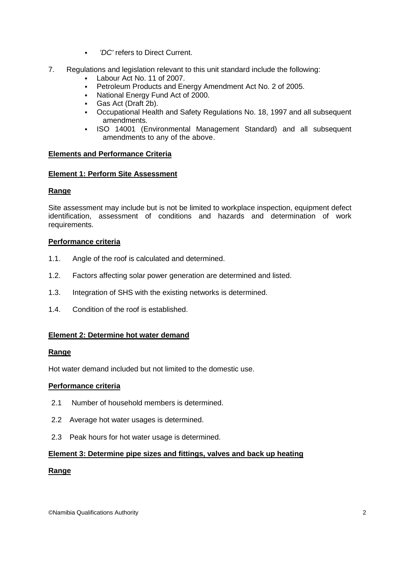- *'DC'* refers to Direct Current.
- 7. Regulations and legislation relevant to this unit standard include the following:
	- Labour Act No. 11 of 2007.
		- Petroleum Products and Energy Amendment Act No. 2 of 2005.
	- National Energy Fund Act of 2000.
	- Gas Act (Draft 2b).
	- Occupational Health and Safety Regulations No. 18, 1997 and all subsequent amendments.
	- ISO 14001 (Environmental Management Standard) and all subsequent amendments to any of the above.

## **Elements and Performance Criteria**

## **Element 1: Perform Site Assessment**

## **Range**

Site assessment may include but is not be limited to workplace inspection, equipment defect identification, assessment of conditions and hazards and determination of work requirements.

## **Performance criteria**

- 1.1. Angle of the roof is calculated and determined.
- 1.2. Factors affecting solar power generation are determined and listed.
- 1.3. Integration of SHS with the existing networks is determined.
- 1.4. Condition of the roof is established.

# **Element 2: Determine hot water demand**

## **Range**

Hot water demand included but not limited to the domestic use.

# **Performance criteria**

- 2.1 Number of household members is determined.
- 2.2 Average hot water usages is determined.
- 2.3 Peak hours for hot water usage is determined.

## **Element 3: Determine pipe sizes and fittings, valves and back up heating**

# **Range**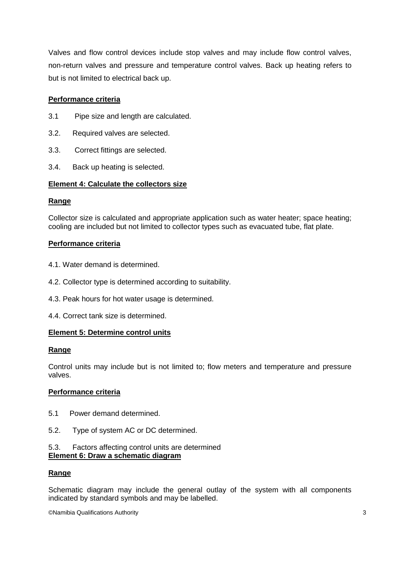Valves and flow control devices include stop valves and may include flow control valves, non-return valves and pressure and temperature control valves. Back up heating refers to but is not limited to electrical back up.

## **Performance criteria**

- 3.1 Pipe size and length are calculated.
- 3.2. Required valves are selected.
- 3.3. Correct fittings are selected.
- 3.4. Back up heating is selected.

## **Element 4: Calculate the collectors size**

## **Range**

Collector size is calculated and appropriate application such as water heater; space heating; cooling are included but not limited to collector types such as evacuated tube, flat plate.

## **Performance criteria**

- 4.1. Water demand is determined.
- 4.2. Collector type is determined according to suitability.
- 4.3. Peak hours for hot water usage is determined.
- 4.4. Correct tank size is determined.

## **Element 5: Determine control units**

## **Range**

Control units may include but is not limited to; flow meters and temperature and pressure valves.

## **Performance criteria**

- 5.1 Power demand determined.
- 5.2. Type of system AC or DC determined.

#### 5.3. Factors affecting control units are determined **Element 6: Draw a schematic diagram**

## **Range**

Schematic diagram may include the general outlay of the system with all components indicated by standard symbols and may be labelled.

©Namibia Qualifications Authority 3